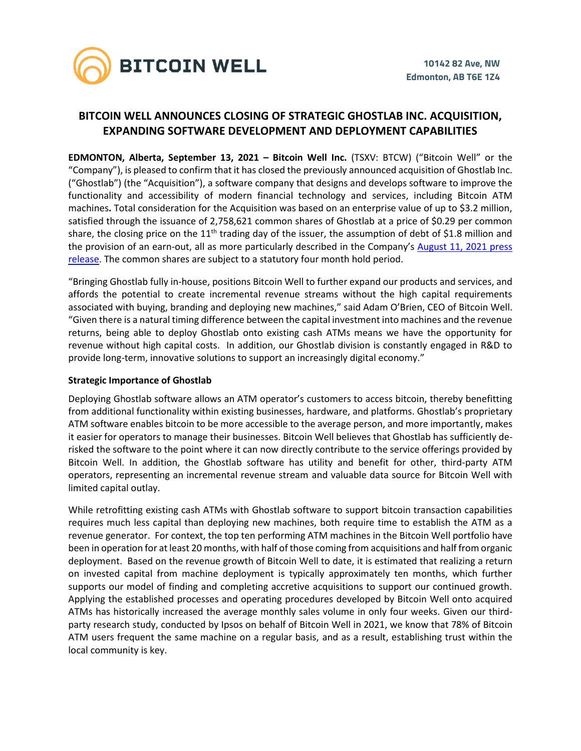

# **BITCOIN WELL ANNOUNCES CLOSING OF STRATEGIC GHOSTLAB INC. ACQUISITION, EXPANDING SOFTWARE DEVELOPMENT AND DEPLOYMENT CAPABILITIES**

**EDMONTON, Alberta, September 13, 2021 – Bitcoin Well Inc.** (TSXV: BTCW) ("Bitcoin Well" or the "Company"), is pleased to confirm that it has closed the previously announced acquisition of Ghostlab Inc. ("Ghostlab") (the "Acquisition"), a software company that designs and develops software to improve the functionality and accessibility of modern financial technology and services, including Bitcoin ATM machines**.** Total consideration for the Acquisition was based on an enterprise value of up to \$3.2 million, satisfied through the issuance of 2,758,621 common shares of Ghostlab at a price of \$0.29 per common share, the closing price on the  $11<sup>th</sup>$  trading day of the issuer, the assumption of debt of \$1.8 million and the provision of an earn-out, all as more particularly described in the Company's [August 11, 2021 press](https://investors.bitcoinwell.com/wp-content/uploads/2021/08/21-08-11-bitcoin-well-acquires-ghostlab-FINAL.pdf)  [release.](https://investors.bitcoinwell.com/wp-content/uploads/2021/08/21-08-11-bitcoin-well-acquires-ghostlab-FINAL.pdf) The common shares are subject to a statutory four month hold period.

"Bringing Ghostlab fully in-house, positions Bitcoin Well to further expand our products and services, and affords the potential to create incremental revenue streams without the high capital requirements associated with buying, branding and deploying new machines," said Adam O'Brien, CEO of Bitcoin Well. "Given there is a natural timing difference between the capital investment into machines and the revenue returns, being able to deploy Ghostlab onto existing cash ATMs means we have the opportunity for revenue without high capital costs. In addition, our Ghostlab division is constantly engaged in R&D to provide long-term, innovative solutions to support an increasingly digital economy."

## **Strategic Importance of Ghostlab**

Deploying Ghostlab software allows an ATM operator's customers to access bitcoin, thereby benefitting from additional functionality within existing businesses, hardware, and platforms. Ghostlab's proprietary ATM software enables bitcoin to be more accessible to the average person, and more importantly, makes it easier for operators to manage their businesses. Bitcoin Well believes that Ghostlab has sufficiently derisked the software to the point where it can now directly contribute to the service offerings provided by Bitcoin Well. In addition, the Ghostlab software has utility and benefit for other, third-party ATM operators, representing an incremental revenue stream and valuable data source for Bitcoin Well with limited capital outlay.

While retrofitting existing cash ATMs with Ghostlab software to support bitcoin transaction capabilities requires much less capital than deploying new machines, both require time to establish the ATM as a revenue generator. For context, the top ten performing ATM machines in the Bitcoin Well portfolio have been in operation for at least 20 months, with half of those coming from acquisitions and half from organic deployment. Based on the revenue growth of Bitcoin Well to date, it is estimated that realizing a return on invested capital from machine deployment is typically approximately ten months, which further supports our model of finding and completing accretive acquisitions to support our continued growth. Applying the established processes and operating procedures developed by Bitcoin Well onto acquired ATMs has historically increased the average monthly sales volume in only four weeks. Given our thirdparty research study, conducted by Ipsos on behalf of Bitcoin Well in 2021, we know that 78% of Bitcoin ATM users frequent the same machine on a regular basis, and as a result, establishing trust within the local community is key.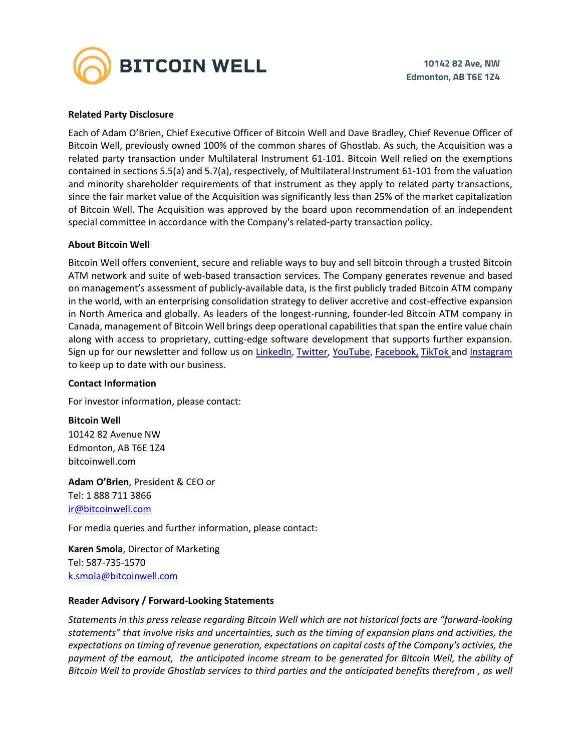

### **Related Party Disclosure**

Each of Adam O'Brien, Chief Executive Officer of Bitcoin Well and Dave Bradley, Chief Revenue Officer of Bitcoin Well, previously owned 100% of the common shares of Ghostlab. As such, the Acquisition was a related party transaction under Multilateral Instrument 61-101. Bitcoin Well relied on the exemptions contained in sections 5.5(a) and 5.7(a), respectively, of Multilateral Instrument 61-101 from the valuation and minority shareholder requirements of that instrument as they apply to related party transactions, since the fair market value of the Acquisition was significantly less than 25% of the market capitalization of Bitcoin Well. The Acquisition was approved by the board upon recommendation of an independent special committee in accordance with the Company's related-party transaction policy.

#### **About Bitcoin Well**

Bitcoin Well offers convenient, secure and reliable ways to buy and sell bitcoin through a trusted Bitcoin ATM network and suite of web-based transaction services. The Company generates revenue and based on management's assessment of publicly-available data, is the first publicly traded Bitcoin ATM company in the world, with an enterprising consolidation strategy to deliver accretive and cost-effective expansion in North America and globally. As leaders of the longest-running, founder-led Bitcoin ATM company in Canada, management of Bitcoin Well brings deep operational capabilities that span the entire value chain along with access to proprietary, cutting-edge software development that supports further expansion. Sign up for our newsletter and follow us on [LinkedIn,](https://www.linkedin.com/company/bitcoinwell/) [Twitter,](https://twitter.com/TheBitcoinWell) [YouTube,](https://www.youtube.com/channel/UCeHRFsSr3KEGD5kECjlvC4g) [Facebook,](https://www.facebook.com/thebitcoinwell) [TikTok](https://www.tiktok.com/@bitcoinwellofficial?lang=en) and [Instagram](https://www.instagram.com/thebitcoinwell/) to keep up to date with our business.

#### **Contact Information**

For investor information, please contact:

**Bitcoin Well**

10142 82 Avenue NW Edmonton, AB T6E 1Z4 bitcoinwell.com

**Adam O'Brien**, President & CEO or Tel: 1 888 711 3866 [ir@bitcoinwell.com](mailto:ir@bitcoinwell.com)

For media queries and further information, please contact:

**Karen Smola**, Director of Marketing Tel: 587-735-1570 [k.smola@bitcoinwell.com](mailto:k.smola@bitcoinwell.com)

#### **Reader Advisory / Forward-Looking Statements**

*Statements in this press release regarding Bitcoin Well which are not historical facts are "forward-looking statements" that involve risks and uncertainties, such as the timing of expansion plans and activities, the expectations on timing of revenue generation, expectations on capital costs of the Company's activies, the payment of the earnout, the anticipated income stream to be generated for Bitcoin Well, the ability of Bitcoin Well to provide Ghostlab services to third parties and the anticipated benefits therefrom , as well*